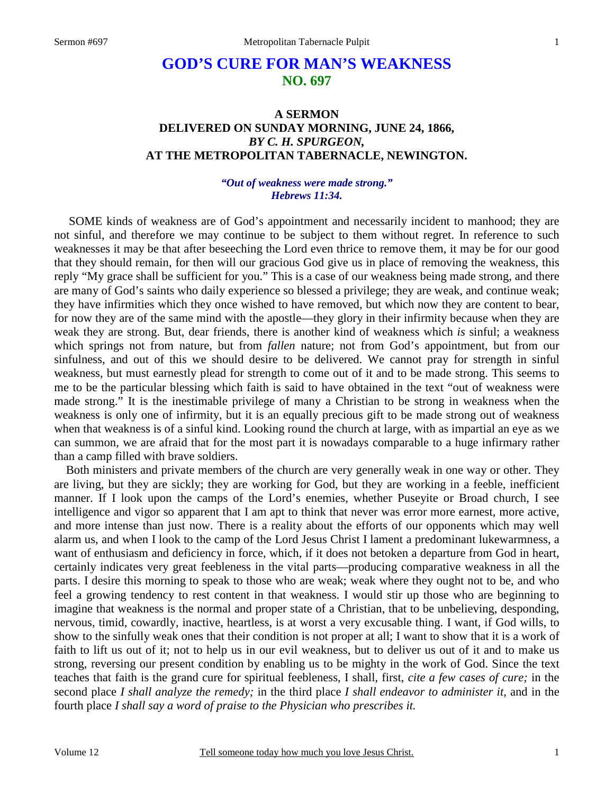# **GOD'S CURE FOR MAN'S WEAKNESS NO. 697**

## **A SERMON DELIVERED ON SUNDAY MORNING, JUNE 24, 1866,**  *BY C. H. SPURGEON,*  **AT THE METROPOLITAN TABERNACLE, NEWINGTON.**

### *"Out of weakness were made strong." Hebrews 11:34.*

**SOME** kinds of weakness are of God's appointment and necessarily incident to manhood; they are not sinful, and therefore we may continue to be subject to them without regret. In reference to such weaknesses it may be that after beseeching the Lord even thrice to remove them, it may be for our good that they should remain, for then will our gracious God give us in place of removing the weakness, this reply "My grace shall be sufficient for you." This is a case of our weakness being made strong, and there are many of God's saints who daily experience so blessed a privilege; they are weak, and continue weak; they have infirmities which they once wished to have removed, but which now they are content to bear, for now they are of the same mind with the apostle—they glory in their infirmity because when they are weak they are strong. But, dear friends, there is another kind of weakness which *is* sinful; a weakness which springs not from nature, but from *fallen* nature; not from God's appointment, but from our sinfulness, and out of this we should desire to be delivered. We cannot pray for strength in sinful weakness, but must earnestly plead for strength to come out of it and to be made strong. This seems to me to be the particular blessing which faith is said to have obtained in the text "out of weakness were made strong." It is the inestimable privilege of many a Christian to be strong in weakness when the weakness is only one of infirmity, but it is an equally precious gift to be made strong out of weakness when that weakness is of a sinful kind. Looking round the church at large, with as impartial an eye as we can summon, we are afraid that for the most part it is nowadays comparable to a huge infirmary rather than a camp filled with brave soldiers.

 Both ministers and private members of the church are very generally weak in one way or other. They are living, but they are sickly; they are working for God, but they are working in a feeble, inefficient manner. If I look upon the camps of the Lord's enemies, whether Puseyite or Broad church, I see intelligence and vigor so apparent that I am apt to think that never was error more earnest, more active, and more intense than just now. There is a reality about the efforts of our opponents which may well alarm us, and when I look to the camp of the Lord Jesus Christ I lament a predominant lukewarmness, a want of enthusiasm and deficiency in force, which, if it does not betoken a departure from God in heart, certainly indicates very great feebleness in the vital parts—producing comparative weakness in all the parts. I desire this morning to speak to those who are weak; weak where they ought not to be, and who feel a growing tendency to rest content in that weakness. I would stir up those who are beginning to imagine that weakness is the normal and proper state of a Christian, that to be unbelieving, desponding, nervous, timid, cowardly, inactive, heartless, is at worst a very excusable thing. I want, if God wills, to show to the sinfully weak ones that their condition is not proper at all; I want to show that it is a work of faith to lift us out of it; not to help us in our evil weakness, but to deliver us out of it and to make us strong, reversing our present condition by enabling us to be mighty in the work of God. Since the text teaches that faith is the grand cure for spiritual feebleness, I shall, first, *cite a few cases of cure;* in the second place *I shall analyze the remedy;* in the third place *I shall endeavor to administer it,* and in the fourth place *I shall say a word of praise to the Physician who prescribes it.*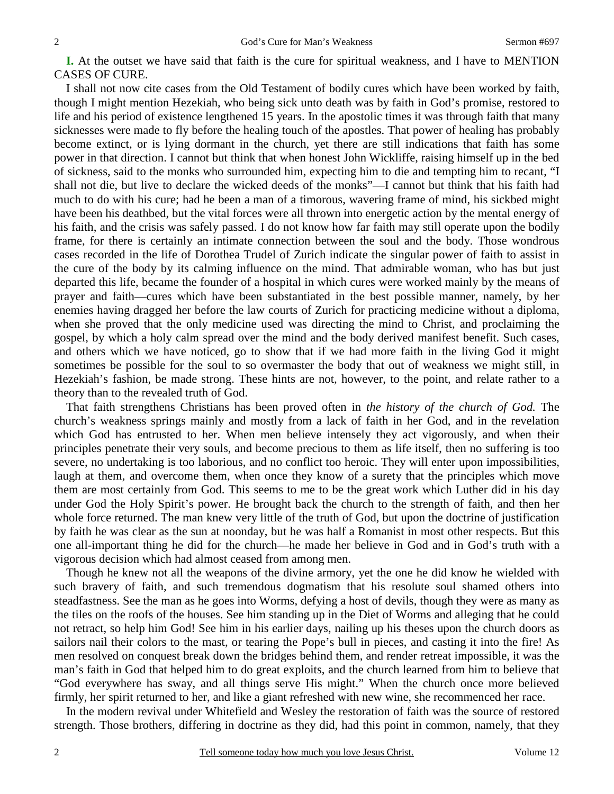**I.** At the outset we have said that faith is the cure for spiritual weakness, and I have to MENTION CASES OF CURE.

 I shall not now cite cases from the Old Testament of bodily cures which have been worked by faith, though I might mention Hezekiah, who being sick unto death was by faith in God's promise, restored to life and his period of existence lengthened 15 years. In the apostolic times it was through faith that many sicknesses were made to fly before the healing touch of the apostles. That power of healing has probably become extinct, or is lying dormant in the church, yet there are still indications that faith has some power in that direction. I cannot but think that when honest John Wickliffe, raising himself up in the bed of sickness, said to the monks who surrounded him, expecting him to die and tempting him to recant, "I shall not die, but live to declare the wicked deeds of the monks"—I cannot but think that his faith had much to do with his cure; had he been a man of a timorous, wavering frame of mind, his sickbed might have been his deathbed, but the vital forces were all thrown into energetic action by the mental energy of his faith, and the crisis was safely passed. I do not know how far faith may still operate upon the bodily frame, for there is certainly an intimate connection between the soul and the body. Those wondrous cases recorded in the life of Dorothea Trudel of Zurich indicate the singular power of faith to assist in the cure of the body by its calming influence on the mind. That admirable woman, who has but just departed this life, became the founder of a hospital in which cures were worked mainly by the means of prayer and faith—cures which have been substantiated in the best possible manner, namely, by her enemies having dragged her before the law courts of Zurich for practicing medicine without a diploma, when she proved that the only medicine used was directing the mind to Christ, and proclaiming the gospel, by which a holy calm spread over the mind and the body derived manifest benefit. Such cases, and others which we have noticed, go to show that if we had more faith in the living God it might sometimes be possible for the soul to so overmaster the body that out of weakness we might still, in Hezekiah's fashion, be made strong. These hints are not, however, to the point, and relate rather to a theory than to the revealed truth of God.

 That faith strengthens Christians has been proved often in *the history of the church of God.* The church's weakness springs mainly and mostly from a lack of faith in her God, and in the revelation which God has entrusted to her. When men believe intensely they act vigorously, and when their principles penetrate their very souls, and become precious to them as life itself, then no suffering is too severe, no undertaking is too laborious, and no conflict too heroic. They will enter upon impossibilities, laugh at them, and overcome them, when once they know of a surety that the principles which move them are most certainly from God. This seems to me to be the great work which Luther did in his day under God the Holy Spirit's power. He brought back the church to the strength of faith, and then her whole force returned. The man knew very little of the truth of God, but upon the doctrine of justification by faith he was clear as the sun at noonday, but he was half a Romanist in most other respects. But this one all-important thing he did for the church—he made her believe in God and in God's truth with a vigorous decision which had almost ceased from among men.

 Though he knew not all the weapons of the divine armory, yet the one he did know he wielded with such bravery of faith, and such tremendous dogmatism that his resolute soul shamed others into steadfastness. See the man as he goes into Worms, defying a host of devils, though they were as many as the tiles on the roofs of the houses. See him standing up in the Diet of Worms and alleging that he could not retract, so help him God! See him in his earlier days, nailing up his theses upon the church doors as sailors nail their colors to the mast, or tearing the Pope's bull in pieces, and casting it into the fire! As men resolved on conquest break down the bridges behind them, and render retreat impossible, it was the man's faith in God that helped him to do great exploits, and the church learned from him to believe that "God everywhere has sway, and all things serve His might." When the church once more believed firmly, her spirit returned to her, and like a giant refreshed with new wine, she recommenced her race.

 In the modern revival under Whitefield and Wesley the restoration of faith was the source of restored strength. Those brothers, differing in doctrine as they did, had this point in common, namely, that they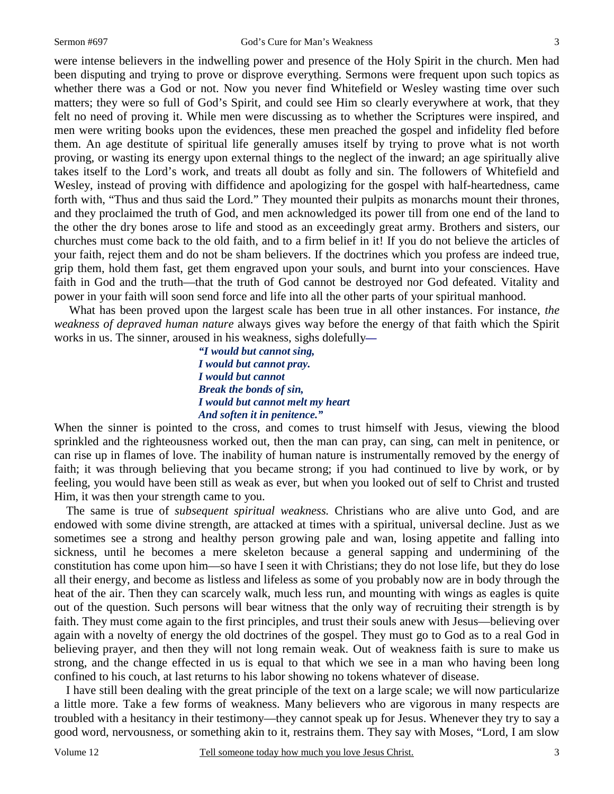were intense believers in the indwelling power and presence of the Holy Spirit in the church. Men had been disputing and trying to prove or disprove everything. Sermons were frequent upon such topics as whether there was a God or not. Now you never find Whitefield or Wesley wasting time over such matters; they were so full of God's Spirit, and could see Him so clearly everywhere at work, that they felt no need of proving it. While men were discussing as to whether the Scriptures were inspired, and men were writing books upon the evidences, these men preached the gospel and infidelity fled before them. An age destitute of spiritual life generally amuses itself by trying to prove what is not worth proving, or wasting its energy upon external things to the neglect of the inward; an age spiritually alive takes itself to the Lord's work, and treats all doubt as folly and sin. The followers of Whitefield and Wesley, instead of proving with diffidence and apologizing for the gospel with half-heartedness, came forth with, "Thus and thus said the Lord." They mounted their pulpits as monarchs mount their thrones, and they proclaimed the truth of God, and men acknowledged its power till from one end of the land to the other the dry bones arose to life and stood as an exceedingly great army. Brothers and sisters, our churches must come back to the old faith, and to a firm belief in it! If you do not believe the articles of your faith, reject them and do not be sham believers. If the doctrines which you profess are indeed true, grip them, hold them fast, get them engraved upon your souls, and burnt into your consciences. Have faith in God and the truth—that the truth of God cannot be destroyed nor God defeated. Vitality and power in your faith will soon send force and life into all the other parts of your spiritual manhood.

 What has been proved upon the largest scale has been true in all other instances. For instance, *the weakness of depraved human nature* always gives way before the energy of that faith which the Spirit works in us. The sinner, aroused in his weakness, sighs dolefully*—* 

> *"I would but cannot sing, I would but cannot pray. I would but cannot Break the bonds of sin, I would but cannot melt my heart And soften it in penitence."*

When the sinner is pointed to the cross, and comes to trust himself with Jesus, viewing the blood sprinkled and the righteousness worked out, then the man can pray, can sing, can melt in penitence, or can rise up in flames of love. The inability of human nature is instrumentally removed by the energy of faith; it was through believing that you became strong; if you had continued to live by work, or by feeling, you would have been still as weak as ever, but when you looked out of self to Christ and trusted Him, it was then your strength came to you.

 The same is true of *subsequent spiritual weakness.* Christians who are alive unto God, and are endowed with some divine strength, are attacked at times with a spiritual, universal decline. Just as we sometimes see a strong and healthy person growing pale and wan, losing appetite and falling into sickness, until he becomes a mere skeleton because a general sapping and undermining of the constitution has come upon him—so have I seen it with Christians; they do not lose life, but they do lose all their energy, and become as listless and lifeless as some of you probably now are in body through the heat of the air. Then they can scarcely walk, much less run, and mounting with wings as eagles is quite out of the question. Such persons will bear witness that the only way of recruiting their strength is by faith. They must come again to the first principles, and trust their souls anew with Jesus—believing over again with a novelty of energy the old doctrines of the gospel. They must go to God as to a real God in believing prayer, and then they will not long remain weak. Out of weakness faith is sure to make us strong, and the change effected in us is equal to that which we see in a man who having been long confined to his couch, at last returns to his labor showing no tokens whatever of disease.

 I have still been dealing with the great principle of the text on a large scale; we will now particularize a little more. Take a few forms of weakness. Many believers who are vigorous in many respects are troubled with a hesitancy in their testimony—they cannot speak up for Jesus. Whenever they try to say a good word, nervousness, or something akin to it, restrains them. They say with Moses, "Lord, I am slow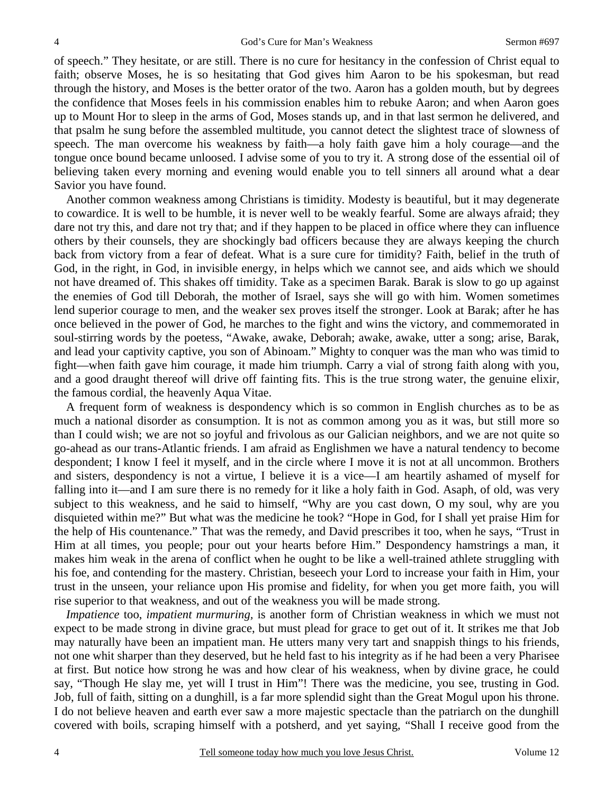of speech." They hesitate, or are still. There is no cure for hesitancy in the confession of Christ equal to faith; observe Moses, he is so hesitating that God gives him Aaron to be his spokesman, but read through the history, and Moses is the better orator of the two. Aaron has a golden mouth, but by degrees the confidence that Moses feels in his commission enables him to rebuke Aaron; and when Aaron goes up to Mount Hor to sleep in the arms of God, Moses stands up, and in that last sermon he delivered, and that psalm he sung before the assembled multitude, you cannot detect the slightest trace of slowness of speech. The man overcome his weakness by faith—a holy faith gave him a holy courage—and the tongue once bound became unloosed. I advise some of you to try it. A strong dose of the essential oil of believing taken every morning and evening would enable you to tell sinners all around what a dear Savior you have found.

 Another common weakness among Christians is timidity. Modesty is beautiful, but it may degenerate to cowardice. It is well to be humble, it is never well to be weakly fearful. Some are always afraid; they dare not try this, and dare not try that; and if they happen to be placed in office where they can influence others by their counsels, they are shockingly bad officers because they are always keeping the church back from victory from a fear of defeat. What is a sure cure for timidity? Faith, belief in the truth of God, in the right, in God, in invisible energy, in helps which we cannot see, and aids which we should not have dreamed of. This shakes off timidity. Take as a specimen Barak. Barak is slow to go up against the enemies of God till Deborah, the mother of Israel, says she will go with him. Women sometimes lend superior courage to men, and the weaker sex proves itself the stronger. Look at Barak; after he has once believed in the power of God, he marches to the fight and wins the victory, and commemorated in soul-stirring words by the poetess, "Awake, awake, Deborah; awake, awake, utter a song; arise, Barak, and lead your captivity captive, you son of Abinoam." Mighty to conquer was the man who was timid to fight—when faith gave him courage, it made him triumph. Carry a vial of strong faith along with you, and a good draught thereof will drive off fainting fits. This is the true strong water, the genuine elixir, the famous cordial, the heavenly Aqua Vitae.

 A frequent form of weakness is despondency which is so common in English churches as to be as much a national disorder as consumption. It is not as common among you as it was, but still more so than I could wish; we are not so joyful and frivolous as our Galician neighbors, and we are not quite so go-ahead as our trans-Atlantic friends. I am afraid as Englishmen we have a natural tendency to become despondent; I know I feel it myself, and in the circle where I move it is not at all uncommon. Brothers and sisters, despondency is not a virtue, I believe it is a vice—I am heartily ashamed of myself for falling into it—and I am sure there is no remedy for it like a holy faith in God. Asaph, of old, was very subject to this weakness, and he said to himself, "Why are you cast down, O my soul, why are you disquieted within me?" But what was the medicine he took? "Hope in God, for I shall yet praise Him for the help of His countenance." That was the remedy, and David prescribes it too, when he says, "Trust in Him at all times, you people; pour out your hearts before Him." Despondency hamstrings a man, it makes him weak in the arena of conflict when he ought to be like a well-trained athlete struggling with his foe, and contending for the mastery. Christian, beseech your Lord to increase your faith in Him, your trust in the unseen, your reliance upon His promise and fidelity, for when you get more faith, you will rise superior to that weakness, and out of the weakness you will be made strong.

*Impatience* too, *impatient murmuring,* is another form of Christian weakness in which we must not expect to be made strong in divine grace, but must plead for grace to get out of it. It strikes me that Job may naturally have been an impatient man. He utters many very tart and snappish things to his friends, not one whit sharper than they deserved, but he held fast to his integrity as if he had been a very Pharisee at first. But notice how strong he was and how clear of his weakness, when by divine grace, he could say, "Though He slay me, yet will I trust in Him"! There was the medicine, you see, trusting in God. Job, full of faith, sitting on a dunghill, is a far more splendid sight than the Great Mogul upon his throne. I do not believe heaven and earth ever saw a more majestic spectacle than the patriarch on the dunghill covered with boils, scraping himself with a potsherd, and yet saying, "Shall I receive good from the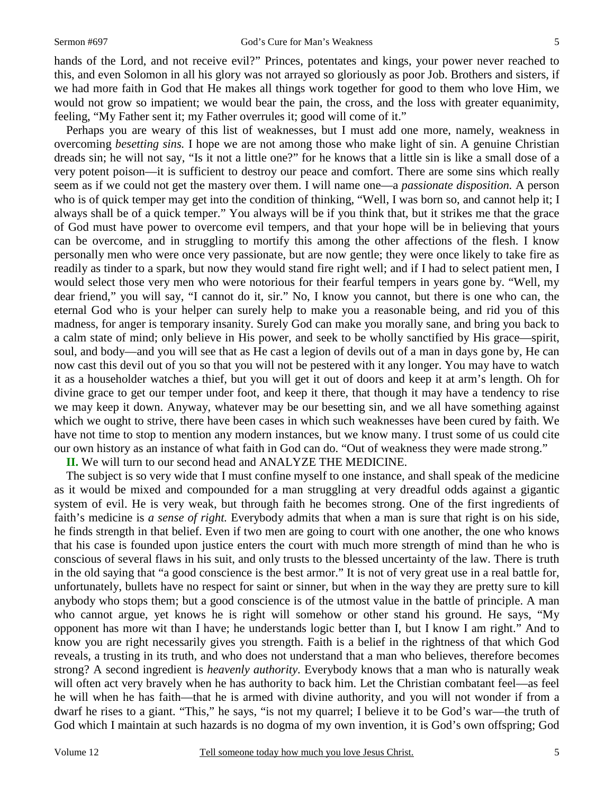hands of the Lord, and not receive evil?" Princes, potentates and kings, your power never reached to this, and even Solomon in all his glory was not arrayed so gloriously as poor Job. Brothers and sisters, if we had more faith in God that He makes all things work together for good to them who love Him, we would not grow so impatient; we would bear the pain, the cross, and the loss with greater equanimity, feeling, "My Father sent it; my Father overrules it; good will come of it."

 Perhaps you are weary of this list of weaknesses, but I must add one more, namely, weakness in overcoming *besetting sins.* I hope we are not among those who make light of sin. A genuine Christian dreads sin; he will not say, "Is it not a little one?" for he knows that a little sin is like a small dose of a very potent poison—it is sufficient to destroy our peace and comfort. There are some sins which really seem as if we could not get the mastery over them. I will name one—a *passionate disposition.* A person who is of quick temper may get into the condition of thinking, "Well, I was born so, and cannot help it; I always shall be of a quick temper." You always will be if you think that, but it strikes me that the grace of God must have power to overcome evil tempers, and that your hope will be in believing that yours can be overcome, and in struggling to mortify this among the other affections of the flesh. I know personally men who were once very passionate, but are now gentle; they were once likely to take fire as readily as tinder to a spark, but now they would stand fire right well; and if I had to select patient men, I would select those very men who were notorious for their fearful tempers in years gone by. "Well, my dear friend," you will say, "I cannot do it, sir." No, I know you cannot, but there is one who can, the eternal God who is your helper can surely help to make you a reasonable being, and rid you of this madness, for anger is temporary insanity. Surely God can make you morally sane, and bring you back to a calm state of mind; only believe in His power, and seek to be wholly sanctified by His grace—spirit, soul, and body—and you will see that as He cast a legion of devils out of a man in days gone by, He can now cast this devil out of you so that you will not be pestered with it any longer. You may have to watch it as a householder watches a thief, but you will get it out of doors and keep it at arm's length. Oh for divine grace to get our temper under foot, and keep it there, that though it may have a tendency to rise we may keep it down. Anyway, whatever may be our besetting sin, and we all have something against which we ought to strive, there have been cases in which such weaknesses have been cured by faith. We have not time to stop to mention any modern instances, but we know many. I trust some of us could cite our own history as an instance of what faith in God can do. "Out of weakness they were made strong."

**II.** We will turn to our second head and ANALYZE THE MEDICINE.

 The subject is so very wide that I must confine myself to one instance, and shall speak of the medicine as it would be mixed and compounded for a man struggling at very dreadful odds against a gigantic system of evil. He is very weak, but through faith he becomes strong. One of the first ingredients of faith's medicine is *a sense of right*. Everybody admits that when a man is sure that right is on his side, he finds strength in that belief. Even if two men are going to court with one another, the one who knows that his case is founded upon justice enters the court with much more strength of mind than he who is conscious of several flaws in his suit, and only trusts to the blessed uncertainty of the law. There is truth in the old saying that "a good conscience is the best armor." It is not of very great use in a real battle for, unfortunately, bullets have no respect for saint or sinner, but when in the way they are pretty sure to kill anybody who stops them; but a good conscience is of the utmost value in the battle of principle. A man who cannot argue, yet knows he is right will somehow or other stand his ground. He says, "My opponent has more wit than I have; he understands logic better than I, but I know I am right." And to know you are right necessarily gives you strength. Faith is a belief in the rightness of that which God reveals, a trusting in its truth, and who does not understand that a man who believes, therefore becomes strong? A second ingredient is *heavenly authority.* Everybody knows that a man who is naturally weak will often act very bravely when he has authority to back him. Let the Christian combatant feel—as feel he will when he has faith—that he is armed with divine authority, and you will not wonder if from a dwarf he rises to a giant. "This," he says, "is not my quarrel; I believe it to be God's war—the truth of God which I maintain at such hazards is no dogma of my own invention, it is God's own offspring; God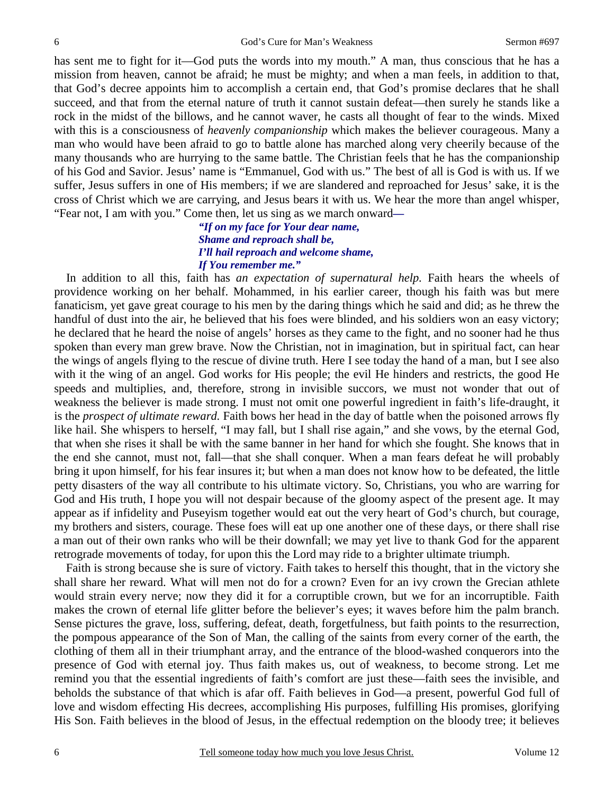has sent me to fight for it—God puts the words into my mouth." A man, thus conscious that he has a mission from heaven, cannot be afraid; he must be mighty; and when a man feels, in addition to that, that God's decree appoints him to accomplish a certain end, that God's promise declares that he shall succeed, and that from the eternal nature of truth it cannot sustain defeat—then surely he stands like a rock in the midst of the billows, and he cannot waver, he casts all thought of fear to the winds. Mixed with this is a consciousness of *heavenly companionship* which makes the believer courageous. Many a man who would have been afraid to go to battle alone has marched along very cheerily because of the many thousands who are hurrying to the same battle. The Christian feels that he has the companionship of his God and Savior. Jesus' name is "Emmanuel, God with us." The best of all is God is with us. If we suffer, Jesus suffers in one of His members; if we are slandered and reproached for Jesus' sake, it is the cross of Christ which we are carrying, and Jesus bears it with us. We hear the more than angel whisper, "Fear not, I am with you." Come then, let us sing as we march onward*—* 

#### *"If on my face for Your dear name, Shame and reproach shall be, I'll hail reproach and welcome shame, If You remember me."*

 In addition to all this, faith has *an expectation of supernatural help.* Faith hears the wheels of providence working on her behalf. Mohammed, in his earlier career, though his faith was but mere fanaticism, yet gave great courage to his men by the daring things which he said and did; as he threw the handful of dust into the air, he believed that his foes were blinded, and his soldiers won an easy victory; he declared that he heard the noise of angels' horses as they came to the fight, and no sooner had he thus spoken than every man grew brave. Now the Christian, not in imagination, but in spiritual fact, can hear the wings of angels flying to the rescue of divine truth. Here I see today the hand of a man, but I see also with it the wing of an angel. God works for His people; the evil He hinders and restricts, the good He speeds and multiplies, and, therefore, strong in invisible succors, we must not wonder that out of weakness the believer is made strong. I must not omit one powerful ingredient in faith's life-draught, it is the *prospect of ultimate reward.* Faith bows her head in the day of battle when the poisoned arrows fly like hail. She whispers to herself, "I may fall, but I shall rise again," and she vows, by the eternal God, that when she rises it shall be with the same banner in her hand for which she fought. She knows that in the end she cannot, must not, fall—that she shall conquer. When a man fears defeat he will probably bring it upon himself, for his fear insures it; but when a man does not know how to be defeated, the little petty disasters of the way all contribute to his ultimate victory. So, Christians, you who are warring for God and His truth, I hope you will not despair because of the gloomy aspect of the present age. It may appear as if infidelity and Puseyism together would eat out the very heart of God's church, but courage, my brothers and sisters, courage. These foes will eat up one another one of these days, or there shall rise a man out of their own ranks who will be their downfall; we may yet live to thank God for the apparent retrograde movements of today, for upon this the Lord may ride to a brighter ultimate triumph.

 Faith is strong because she is sure of victory. Faith takes to herself this thought, that in the victory she shall share her reward. What will men not do for a crown? Even for an ivy crown the Grecian athlete would strain every nerve; now they did it for a corruptible crown, but we for an incorruptible. Faith makes the crown of eternal life glitter before the believer's eyes; it waves before him the palm branch. Sense pictures the grave, loss, suffering, defeat, death, forgetfulness, but faith points to the resurrection, the pompous appearance of the Son of Man, the calling of the saints from every corner of the earth, the clothing of them all in their triumphant array, and the entrance of the blood-washed conquerors into the presence of God with eternal joy. Thus faith makes us, out of weakness, to become strong. Let me remind you that the essential ingredients of faith's comfort are just these—faith sees the invisible, and beholds the substance of that which is afar off. Faith believes in God—a present, powerful God full of love and wisdom effecting His decrees, accomplishing His purposes, fulfilling His promises, glorifying His Son. Faith believes in the blood of Jesus, in the effectual redemption on the bloody tree; it believes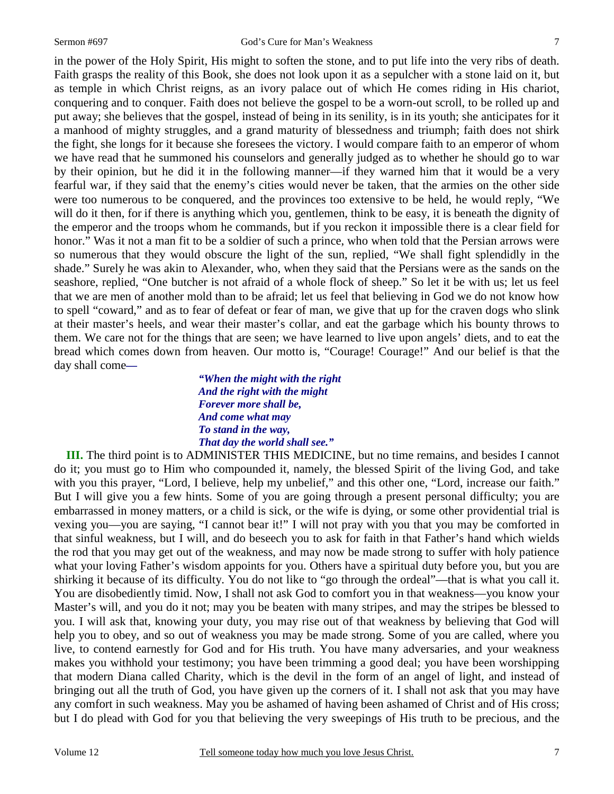in the power of the Holy Spirit, His might to soften the stone, and to put life into the very ribs of death. Faith grasps the reality of this Book, she does not look upon it as a sepulcher with a stone laid on it, but as temple in which Christ reigns, as an ivory palace out of which He comes riding in His chariot, conquering and to conquer. Faith does not believe the gospel to be a worn-out scroll, to be rolled up and put away; she believes that the gospel, instead of being in its senility, is in its youth; she anticipates for it a manhood of mighty struggles, and a grand maturity of blessedness and triumph; faith does not shirk the fight, she longs for it because she foresees the victory. I would compare faith to an emperor of whom we have read that he summoned his counselors and generally judged as to whether he should go to war by their opinion, but he did it in the following manner—if they warned him that it would be a very fearful war, if they said that the enemy's cities would never be taken, that the armies on the other side were too numerous to be conquered, and the provinces too extensive to be held, he would reply, "We will do it then, for if there is anything which you, gentlemen, think to be easy, it is beneath the dignity of the emperor and the troops whom he commands, but if you reckon it impossible there is a clear field for honor." Was it not a man fit to be a soldier of such a prince, who when told that the Persian arrows were so numerous that they would obscure the light of the sun, replied, "We shall fight splendidly in the shade." Surely he was akin to Alexander, who, when they said that the Persians were as the sands on the seashore, replied, "One butcher is not afraid of a whole flock of sheep." So let it be with us; let us feel that we are men of another mold than to be afraid; let us feel that believing in God we do not know how to spell "coward," and as to fear of defeat or fear of man, we give that up for the craven dogs who slink at their master's heels, and wear their master's collar, and eat the garbage which his bounty throws to them. We care not for the things that are seen; we have learned to live upon angels' diets, and to eat the bread which comes down from heaven. Our motto is, "Courage! Courage!" And our belief is that the day shall come*—* 

> *"When the might with the right And the right with the might Forever more shall be, And come what may To stand in the way, That day the world shall see."*

 **III.** The third point is to ADMINISTER THIS MEDICINE, but no time remains, and besides I cannot do it; you must go to Him who compounded it, namely, the blessed Spirit of the living God, and take with you this prayer, "Lord, I believe, help my unbelief," and this other one, "Lord, increase our faith." But I will give you a few hints. Some of you are going through a present personal difficulty; you are embarrassed in money matters, or a child is sick, or the wife is dying, or some other providential trial is vexing you—you are saying, "I cannot bear it!" I will not pray with you that you may be comforted in that sinful weakness, but I will, and do beseech you to ask for faith in that Father's hand which wields the rod that you may get out of the weakness, and may now be made strong to suffer with holy patience what your loving Father's wisdom appoints for you. Others have a spiritual duty before you, but you are shirking it because of its difficulty. You do not like to "go through the ordeal"—that is what you call it. You are disobediently timid. Now, I shall not ask God to comfort you in that weakness—you know your Master's will, and you do it not; may you be beaten with many stripes, and may the stripes be blessed to you. I will ask that, knowing your duty, you may rise out of that weakness by believing that God will help you to obey, and so out of weakness you may be made strong. Some of you are called, where you live, to contend earnestly for God and for His truth. You have many adversaries, and your weakness makes you withhold your testimony; you have been trimming a good deal; you have been worshipping that modern Diana called Charity, which is the devil in the form of an angel of light, and instead of bringing out all the truth of God, you have given up the corners of it. I shall not ask that you may have any comfort in such weakness. May you be ashamed of having been ashamed of Christ and of His cross; but I do plead with God for you that believing the very sweepings of His truth to be precious, and the